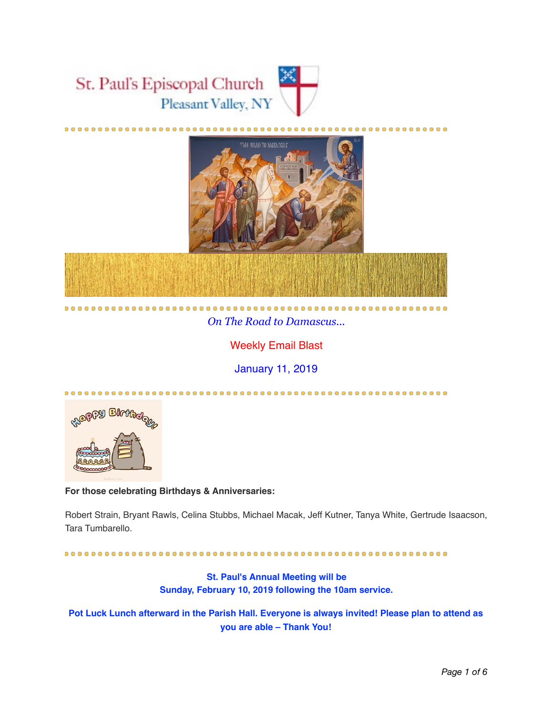



# *On The Road to Damascus...*

.....................

# Weekly Email Blast

January 11, 2019



#### **For those celebrating Birthdays & Anniversaries:**

 $............$ 

Robert Strain, Bryant Rawls, Celina Stubbs, Michael Macak, Jeff Kutner, Tanya White, Gertrude Isaacson, Tara Tumbarello.

**St. Paul's Annual Meeting will be Sunday, February 10, 2019 following the 10am service.** 

**Pot Luck Lunch afterward in the Parish Hall. Everyone is always invited! Please plan to attend as you are able – Thank You!**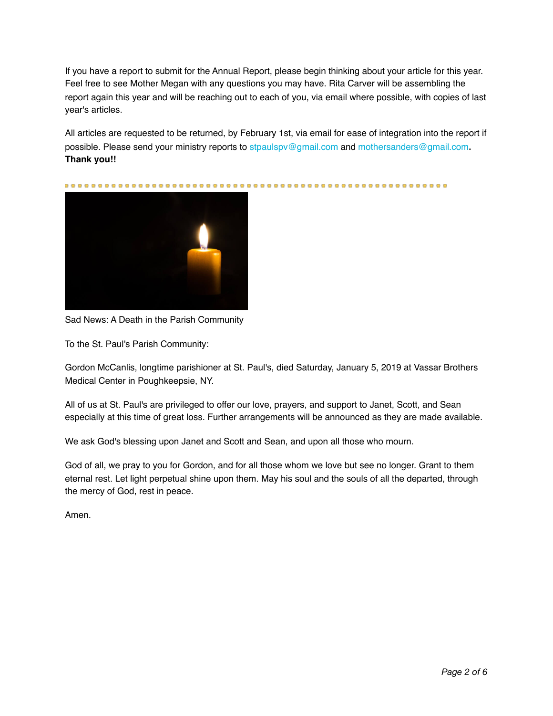If you have a report to submit for the Annual Report, please begin thinking about your article for this year. Feel free to see Mother Megan with any questions you may have. Rita Carver will be assembling the report again this year and will be reaching out to each of you, via email where possible, with copies of last year's articles.

All articles are requested to be returned, by February 1st, via email for ease of integration into the report if possible. Please send your ministry reports to stpaulspv@gmail.com and mothersanders@gmail.com**. Thank you!!** 



Sad News: A Death in the Parish Community

To the St. Paul's Parish Community:

Gordon McCanlis, longtime parishioner at St. Paul's, died Saturday, January 5, 2019 at Vassar Brothers Medical Center in Poughkeepsie, NY.

All of us at St. Paul's are privileged to offer our love, prayers, and support to Janet, Scott, and Sean especially at this time of great loss. Further arrangements will be announced as they are made available.

We ask God's blessing upon Janet and Scott and Sean, and upon all those who mourn.

God of all, we pray to you for Gordon, and for all those whom we love but see no longer. Grant to them eternal rest. Let light perpetual shine upon them. May his soul and the souls of all the departed, through the mercy of God, rest in peace.

Amen.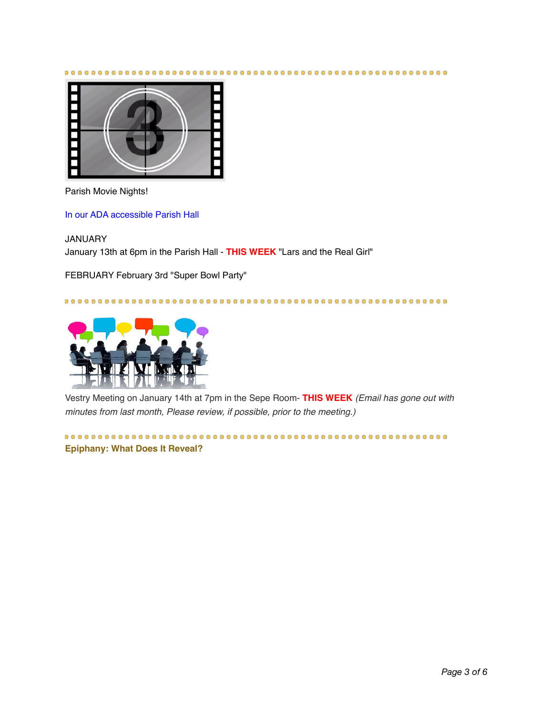

Parish Movie Nights!

In our ADA accessible Parish Hall

JANUARY

January 13th at 6pm in the Parish Hall - **THIS WEEK** "Lars and the Real Girl"

FEBRUARY February 3rd "Super Bowl Party"



Vestry Meeting on January 14th at 7pm in the Sepe Room- **THIS WEEK** *(Email has gone out with minutes from last month, Please review, if possible, prior to the meeting.)* 

**Epiphany: What Does It Reveal?**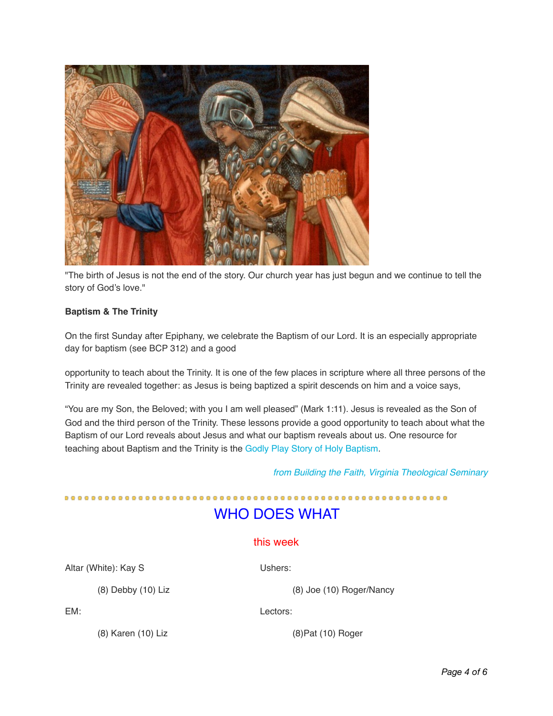

"The birth of Jesus is not the end of the story. Our church year has just begun and we continue to tell the story of God's love."

#### **Baptism & The Trinity**

On the first Sunday after Epiphany, we celebrate the Baptism of our Lord. It is an especially appropriate day for baptism (see BCP 312) and a good

opportunity to teach about the Trinity. It is one of the few places in scripture where all three persons of the Trinity are revealed together: as Jesus is being baptized a spirit descends on him and a voice says,

"You are my Son, the Beloved; with you I am well pleased" (Mark 1:11). Jesus is revealed as the Son of God and the third person of the Trinity. These lessons provide a good opportunity to teach about what the Baptism of our Lord reveals about Jesus and what our baptism reveals about us. One resource for teaching about Baptism and the Trinity is the Godly Play Story of Holy Baptism.

*from Building the Faith, Virginia Theological Seminary* 

# WHO DOES WHAT

#### this week

Altar (White): Kay S Ushers:

(8) Debby (10) Liz (8) Joe (10) Roger/Nancy

EM: Lectors:

(8) Karen (10) Liz (8)Pat (10) Roger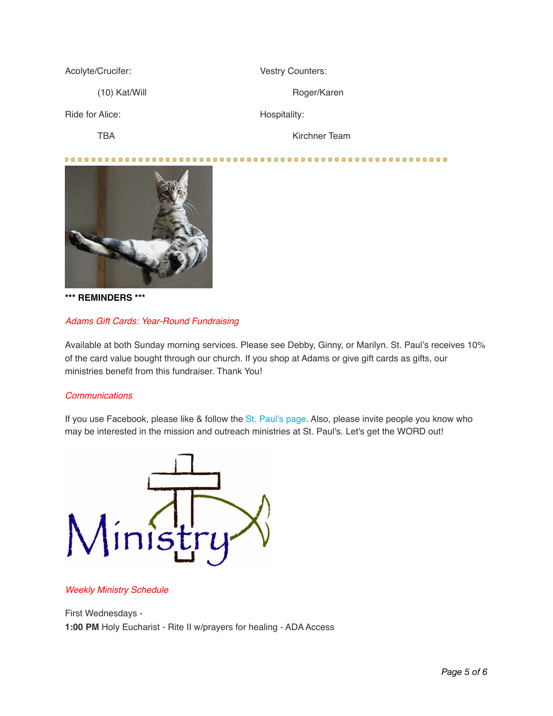Acolyte/Crucifer: Vestry Counters:

Ride for Alice: Hospitality:

(10) Kat/Will Roger/Karen

TBA Kirchner Team

......................



**\*\*\* REMINDERS \*\*\*** 

## *Adams Gift Cards: Year-Round Fundraising*

Available at both Sunday morning services. Please see Debby, Ginny, or Marilyn. St. Paul's receives 10% of the card value bought through our church. If you shop at Adams or give gift cards as gifts, our ministries benefit from this fundraiser. Thank You!

## *Communications*

If you use Facebook, please like & follow the St. Paul's page. Also, please invite people you know who may be interested in the mission and outreach ministries at St. Paul's. Let's get the WORD out!



#### *Weekly Ministry Schedule*

First Wednesdays - **1:00 PM** Holy Eucharist - Rite II w/prayers for healing - ADA Access